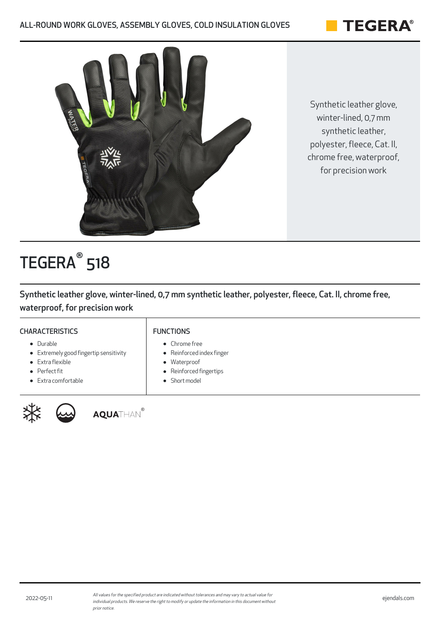



Synthetic leather glove, winter-lined, 0,7 mm synthetic leather, polyester, fleece, Cat. II, chrome free, waterproof, for precision work

# TEGERA<sup>®</sup> 518

Synthetic leather glove, winter-lined, 0,7 mm synthetic leather, polyester, fleece, Cat. II, chrome free, waterproof, for precision work

### **CHARACTERISTICS**

### FUNCTIONS

- Durable
- Extremely good fingertip sensitivity
- Extra flexible
- Perfect fit
- Extra comfortable



**AQUA**THAN®

- Chrome free
- Reinforced index finger
- Waterproof  $\bullet$
- Reinforced fingertips
- Short model